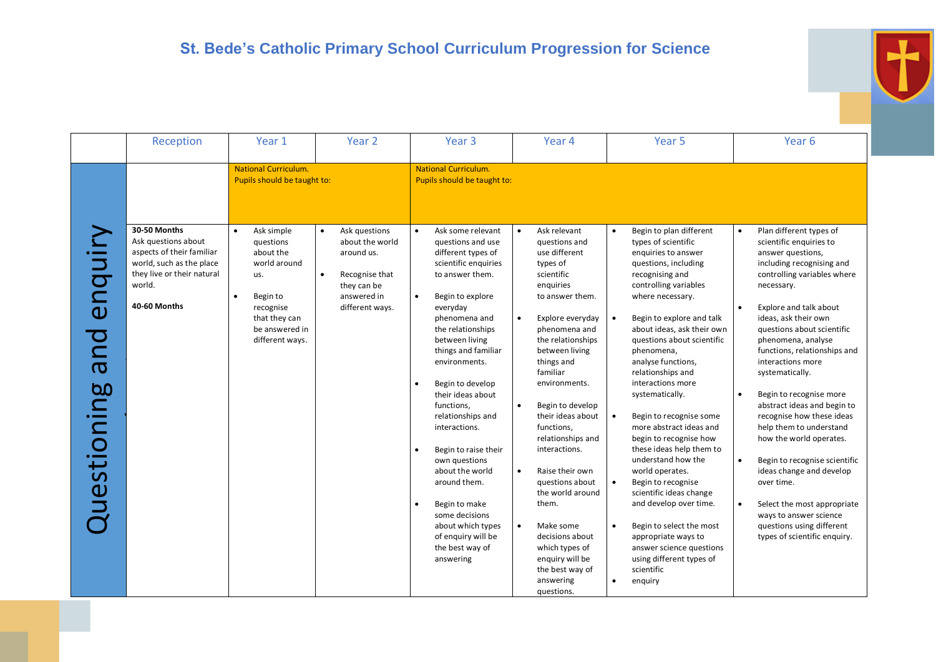|                                                       | Reception                                                                                                                                            | Year 1                                                                                                                                     | Year <sub>2</sub>                                                                                                                           | Year <sub>3</sub>                                                                                                                                                                                                                                                                                                                                                                                                                                                                                                                           | Year 4                                                                                                                                                                                                                                                                                                                                                                                                                                                                                                                                                                 | Year <sub>5</sub>                                                                                                                                                                                                                                                                                                                                                                                                                                                                                                                                                                                                                                                                                                                                                                            | Year <sub>6</sub>                                                                                                                                                                                                                                                                                                                                                                                                                                                                                                                                                                                                                                                                                                                 |
|-------------------------------------------------------|------------------------------------------------------------------------------------------------------------------------------------------------------|--------------------------------------------------------------------------------------------------------------------------------------------|---------------------------------------------------------------------------------------------------------------------------------------------|---------------------------------------------------------------------------------------------------------------------------------------------------------------------------------------------------------------------------------------------------------------------------------------------------------------------------------------------------------------------------------------------------------------------------------------------------------------------------------------------------------------------------------------------|------------------------------------------------------------------------------------------------------------------------------------------------------------------------------------------------------------------------------------------------------------------------------------------------------------------------------------------------------------------------------------------------------------------------------------------------------------------------------------------------------------------------------------------------------------------------|----------------------------------------------------------------------------------------------------------------------------------------------------------------------------------------------------------------------------------------------------------------------------------------------------------------------------------------------------------------------------------------------------------------------------------------------------------------------------------------------------------------------------------------------------------------------------------------------------------------------------------------------------------------------------------------------------------------------------------------------------------------------------------------------|-----------------------------------------------------------------------------------------------------------------------------------------------------------------------------------------------------------------------------------------------------------------------------------------------------------------------------------------------------------------------------------------------------------------------------------------------------------------------------------------------------------------------------------------------------------------------------------------------------------------------------------------------------------------------------------------------------------------------------------|
|                                                       |                                                                                                                                                      | <b>National Curriculum.</b><br>Pupils should be taught to:                                                                                 |                                                                                                                                             | <b>National Curriculum.</b><br>Pupils should be taught to:                                                                                                                                                                                                                                                                                                                                                                                                                                                                                  |                                                                                                                                                                                                                                                                                                                                                                                                                                                                                                                                                                        |                                                                                                                                                                                                                                                                                                                                                                                                                                                                                                                                                                                                                                                                                                                                                                                              |                                                                                                                                                                                                                                                                                                                                                                                                                                                                                                                                                                                                                                                                                                                                   |
| $\overline{\phantom{0}}$<br>ena<br>pue<br>Questioning | 30-50 Months<br>Ask questions about<br>aspects of their familiar<br>world, such as the place<br>they live or their natural<br>world.<br>40-60 Months | Ask simple<br>questions<br>about the<br>world around<br>us.<br>Begin to<br>recognise<br>that they can<br>be answered in<br>different ways. | Ask questions<br>$\bullet$<br>about the world<br>around us.<br>Recognise that<br>$\bullet$<br>they can be<br>answered in<br>different ways. | Ask some relevant<br>questions and use<br>different types of<br>scientific enquiries<br>to answer them.<br>Begin to explore<br>$\bullet$<br>everyday<br>phenomena and<br>the relationships<br>between living<br>things and familiar<br>environments.<br>Begin to develop<br>their ideas about<br>functions,<br>relationships and<br>interactions.<br>Begin to raise their<br>own questions<br>about the world<br>around them.<br>Begin to make<br>some decisions<br>about which types<br>of enquiry will be<br>the best way of<br>answering | Ask relevant<br>questions and<br>use different<br>types of<br>scientific<br>enquiries<br>to answer them.<br>Explore everyday<br>$\bullet$<br>phenomena and<br>the relationships<br>between living<br>things and<br>familiar<br>environments.<br>$\bullet$<br>Begin to develop<br>their ideas about<br>functions,<br>relationships and<br>interactions.<br>$\bullet$<br>Raise their own<br>questions about<br>the world around<br>them.<br>$\bullet$<br>Make some<br>decisions about<br>which types of<br>enquiry will be<br>the best way of<br>answering<br>questions. | Begin to plan different<br>$\bullet$<br>types of scientific<br>enquiries to answer<br>questions, including<br>recognising and<br>controlling variables<br>where necessary.<br>Begin to explore and talk<br>$\bullet$<br>about ideas, ask their own<br>questions about scientific<br>phenomena,<br>analyse functions,<br>relationships and<br>interactions more<br>systematically.<br>$\bullet$<br>Begin to recognise some<br>more abstract ideas and<br>begin to recognise how<br>these ideas help them to<br>understand how the<br>world operates.<br>Begin to recognise<br>scientific ideas change<br>and develop over time.<br>Begin to select the most<br>$\bullet$<br>appropriate ways to<br>answer science questions<br>using different types of<br>scientific<br>enquiry<br>$\bullet$ | Plan different types of<br>$\bullet$<br>scientific enquiries to<br>answer questions,<br>including recognising and<br>controlling variables where<br>necessary.<br>Explore and talk about<br>ideas, ask their own<br>questions about scientific<br>phenomena, analyse<br>functions, relationships and<br>interactions more<br>systematically.<br>Begin to recognise more<br>$\bullet$<br>abstract ideas and begin to<br>recognise how these ideas<br>help them to understand<br>how the world operates.<br>$\bullet$<br>Begin to recognise scientific<br>ideas change and develop<br>over time.<br>Select the most appropriate<br>$\bullet$<br>ways to answer science<br>questions using different<br>types of scientific enquiry. |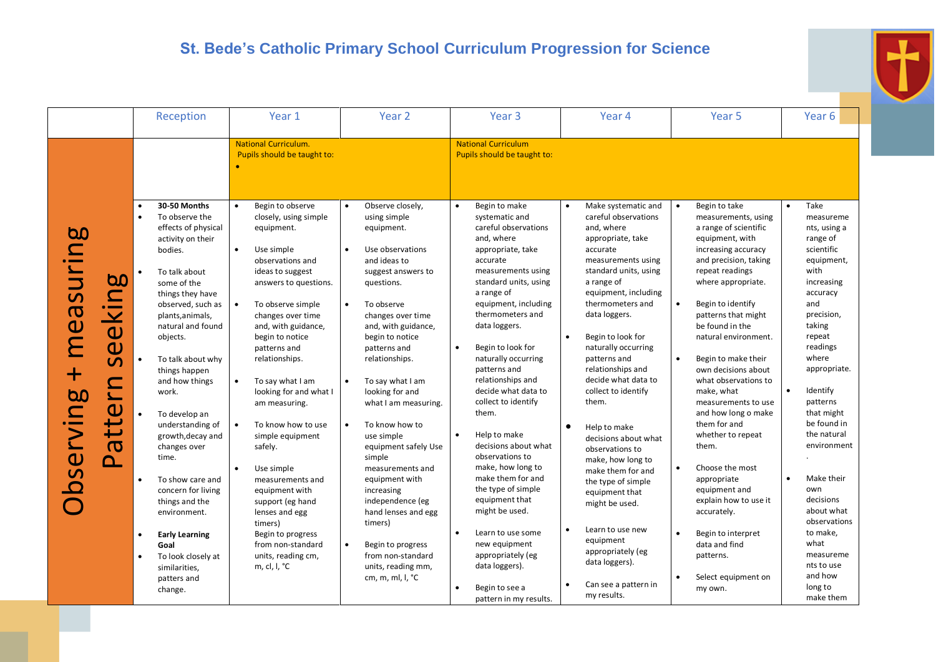|                                                                                                                                                                                                                                          | Reception                                                                                                                                                                                                                                                                                                                                                                                                                                                                                                                                                                                                 | Year 1                                                                                                                                                                                                                                                                                                                                                                                                                                                                                                                                                                                                                                 | Year <sub>2</sub>                                                                                                                                                                                                                                                                                                                                                                                                                                                                                                                                                                                                                               | Year <sub>3</sub>                                                                                                                                                                                                                                                                                                                                                                                                                                                                                                                                                                                                                                                                                                                 | Year 4                                                                                                                                                                                                                                                                                                                                                                                                                                                                                                                                                                                                                                                  | Year <sub>5</sub>                                                                                                                                                                                                                                                                                                                                                                                                                                                                                                                                                                                                                                                        | Year <sub>6</sub>                                                                                                                                                                                                                                                                                                                                                                                                                           |
|------------------------------------------------------------------------------------------------------------------------------------------------------------------------------------------------------------------------------------------|-----------------------------------------------------------------------------------------------------------------------------------------------------------------------------------------------------------------------------------------------------------------------------------------------------------------------------------------------------------------------------------------------------------------------------------------------------------------------------------------------------------------------------------------------------------------------------------------------------------|----------------------------------------------------------------------------------------------------------------------------------------------------------------------------------------------------------------------------------------------------------------------------------------------------------------------------------------------------------------------------------------------------------------------------------------------------------------------------------------------------------------------------------------------------------------------------------------------------------------------------------------|-------------------------------------------------------------------------------------------------------------------------------------------------------------------------------------------------------------------------------------------------------------------------------------------------------------------------------------------------------------------------------------------------------------------------------------------------------------------------------------------------------------------------------------------------------------------------------------------------------------------------------------------------|-----------------------------------------------------------------------------------------------------------------------------------------------------------------------------------------------------------------------------------------------------------------------------------------------------------------------------------------------------------------------------------------------------------------------------------------------------------------------------------------------------------------------------------------------------------------------------------------------------------------------------------------------------------------------------------------------------------------------------------|---------------------------------------------------------------------------------------------------------------------------------------------------------------------------------------------------------------------------------------------------------------------------------------------------------------------------------------------------------------------------------------------------------------------------------------------------------------------------------------------------------------------------------------------------------------------------------------------------------------------------------------------------------|--------------------------------------------------------------------------------------------------------------------------------------------------------------------------------------------------------------------------------------------------------------------------------------------------------------------------------------------------------------------------------------------------------------------------------------------------------------------------------------------------------------------------------------------------------------------------------------------------------------------------------------------------------------------------|---------------------------------------------------------------------------------------------------------------------------------------------------------------------------------------------------------------------------------------------------------------------------------------------------------------------------------------------------------------------------------------------------------------------------------------------|
|                                                                                                                                                                                                                                          |                                                                                                                                                                                                                                                                                                                                                                                                                                                                                                                                                                                                           | <b>National Curriculum.</b><br>Pupils should be taught to:                                                                                                                                                                                                                                                                                                                                                                                                                                                                                                                                                                             |                                                                                                                                                                                                                                                                                                                                                                                                                                                                                                                                                                                                                                                 | <b>National Curriculum</b><br>Pupils should be taught to:                                                                                                                                                                                                                                                                                                                                                                                                                                                                                                                                                                                                                                                                         |                                                                                                                                                                                                                                                                                                                                                                                                                                                                                                                                                                                                                                                         |                                                                                                                                                                                                                                                                                                                                                                                                                                                                                                                                                                                                                                                                          |                                                                                                                                                                                                                                                                                                                                                                                                                                             |
| auring<br><b>bo</b><br>$\blacksquare$<br>$\mathsf{C}$<br>mea <sup>®</sup><br>$\overline{\mathsf{W}}$<br>$\mathbf 0$<br>$\mathcal{L}$<br>┿<br>rving<br>$\overline{\phantom{0}}$<br>$\mathbf  \omega$<br>$\boldsymbol{\sigma}$<br>bse<br>൧ | 30-50 Months<br>$\bullet$<br>To observe the<br>effects of physical<br>activity on their<br>bodies.<br>To talk about<br>$\bullet$<br>some of the<br>things they have<br>observed, such as<br>plants, animals,<br>natural and found<br>objects.<br>To talk about why<br>$\bullet$<br>things happen<br>and how things<br>work.<br>To develop an<br>understanding of<br>growth, decay and<br>changes over<br>time.<br>To show care and<br>concern for living<br>things and the<br>environment.<br><b>Early Learning</b><br>$\bullet$<br>Goal<br>To look closely at<br>similarities,<br>patters and<br>change. | $\bullet$<br>Begin to observe<br>closely, using simple<br>equipment.<br>$\bullet$<br>Use simple<br>observations and<br>ideas to suggest<br>answers to questions.<br>$\bullet$<br>To observe simple<br>changes over time<br>and, with guidance,<br>begin to notice<br>patterns and<br>relationships.<br>To say what I am<br>$\bullet$<br>looking for and what I<br>am measuring.<br>$\bullet$<br>To know how to use<br>simple equipment<br>safely.<br>Use simple<br>measurements and<br>equipment with<br>support (eg hand<br>lenses and egg<br>timers)<br>Begin to progress<br>from non-standard<br>units, reading cm,<br>m, cl, l, °C | Observe closely,<br>$\bullet$<br>using simple<br>equipment.<br>Use observations<br>and ideas to<br>suggest answers to<br>questions.<br>To observe<br>$\bullet$<br>changes over time<br>and, with guidance,<br>begin to notice<br>patterns and<br>relationships.<br>To say what I am<br>$\bullet$<br>looking for and<br>what I am measuring.<br>To know how to<br>$\bullet$<br>use simple<br>equipment safely Use<br>simple<br>measurements and<br>equipment with<br>increasing<br>independence (eg<br>hand lenses and egg<br>timers)<br>Begin to progress<br>$\bullet$<br>from non-standard<br>units, reading mm,<br>cm, m, ml, l, $^{\circ}$ C | Begin to make<br>$\bullet$<br>systematic and<br>careful observations<br>and, where<br>appropriate, take<br>accurate<br>measurements using<br>standard units, using<br>a range of<br>equipment, including<br>thermometers and<br>data loggers.<br>$\bullet$<br>Begin to look for<br>naturally occurring<br>patterns and<br>relationships and<br>decide what data to<br>collect to identify<br>them.<br>Help to make<br>$\bullet$<br>decisions about what<br>observations to<br>make, how long to<br>make them for and<br>the type of simple<br>equipment that<br>might be used.<br>$\bullet$<br>Learn to use some<br>new equipment<br>appropriately (eg<br>data loggers).<br>Begin to see a<br>$\bullet$<br>pattern in my results. | Make systematic and<br>careful observations<br>and, where<br>appropriate, take<br>accurate<br>measurements using<br>standard units, using<br>a range of<br>equipment, including<br>thermometers and<br>data loggers.<br>Begin to look for<br>naturally occurring<br>patterns and<br>relationships and<br>decide what data to<br>collect to identify<br>them.<br>$\bullet$<br>Help to make<br>decisions about what<br>observations to<br>make, how long to<br>make them for and<br>the type of simple<br>equipment that<br>might be used.<br>Learn to use new<br>equipment<br>appropriately (eg<br>data loggers).<br>Can see a pattern in<br>my results. | Begin to take<br>$\bullet$<br>measurements, using<br>a range of scientific<br>equipment, with<br>increasing accuracy<br>and precision, taking<br>repeat readings<br>where appropriate.<br>Begin to identify<br>patterns that might<br>be found in the<br>natural environment.<br>Begin to make their<br>$\bullet$<br>own decisions about<br>what observations to<br>make, what<br>measurements to use<br>and how long o make<br>them for and<br>whether to repeat<br>them.<br>Choose the most<br>$\bullet$<br>appropriate<br>equipment and<br>explain how to use it<br>accurately.<br>Begin to interpret<br>data and find<br>patterns.<br>Select equipment on<br>my own. | Take<br>measureme<br>nts, using a<br>range of<br>scientific<br>equipment,<br>with<br>increasing<br>accuracy<br>and<br>precision,<br>taking<br>repeat<br>readings<br>where<br>appropriate.<br>Identify<br>patterns<br>that might<br>be found in<br>the natural<br>environment<br>Make their<br>$\bullet$<br>own<br>decisions<br>about what<br>observations<br>to make,<br>what<br>measureme<br>nts to use<br>and how<br>long to<br>make them |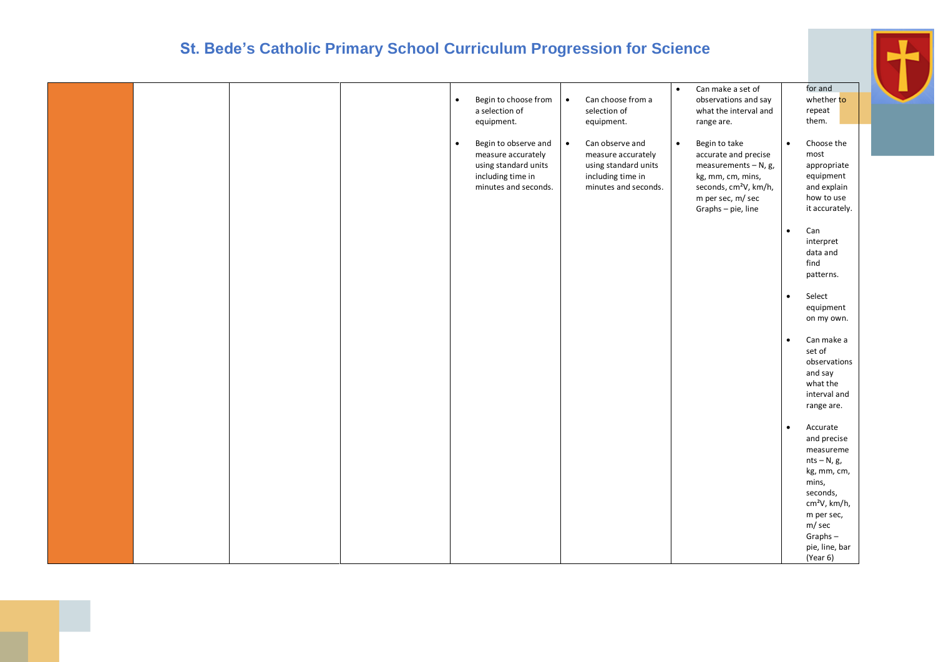|  |  | $\bullet$ | Begin to choose from<br>a selection of<br>equipment.                                                            | $\bullet$ | Can choose from a<br>selection of<br>equipment.                                                            | $\bullet$ | Can make a set of<br>observations and say<br>what the interval and<br>range are.                                                                                      |           | for and<br>whether to<br>repeat<br>them.                                                      |
|--|--|-----------|-----------------------------------------------------------------------------------------------------------------|-----------|------------------------------------------------------------------------------------------------------------|-----------|-----------------------------------------------------------------------------------------------------------------------------------------------------------------------|-----------|-----------------------------------------------------------------------------------------------|
|  |  | $\bullet$ | Begin to observe and<br>measure accurately<br>using standard units<br>including time in<br>minutes and seconds. | $\bullet$ | Can observe and<br>measure accurately<br>using standard units<br>including time in<br>minutes and seconds. | $\bullet$ | Begin to take<br>accurate and precise<br>measurements $- N$ , g,<br>kg, mm, cm, mins,<br>seconds, cm <sup>2</sup> V, km/h,<br>m per sec, m/ sec<br>Graphs - pie, line | $\bullet$ | Choose the<br>most<br>appropriate<br>equipment<br>and explain<br>how to use<br>it accurately. |
|  |  |           |                                                                                                                 |           |                                                                                                            |           |                                                                                                                                                                       | $\bullet$ | Can<br>interpret<br>data and<br>find<br>patterns.                                             |
|  |  |           |                                                                                                                 |           |                                                                                                            |           |                                                                                                                                                                       | $\bullet$ | Select<br>equipment<br>on my own.                                                             |
|  |  |           |                                                                                                                 |           |                                                                                                            |           |                                                                                                                                                                       | $\bullet$ | Can make a<br>set of<br>observations<br>and say<br>what the<br>interval and<br>range are.     |
|  |  |           |                                                                                                                 |           |                                                                                                            |           |                                                                                                                                                                       | $\bullet$ | Accurate<br>and precise<br>measureme<br>$nts - N, g,$<br>kg, mm, cm,<br>mins,<br>seconds,     |
|  |  |           |                                                                                                                 |           |                                                                                                            |           |                                                                                                                                                                       |           | cm <sup>2</sup> V, km/h,<br>m per sec,<br>m/sec<br>$Graphs -$<br>pie, line, bar<br>(Year 6)   |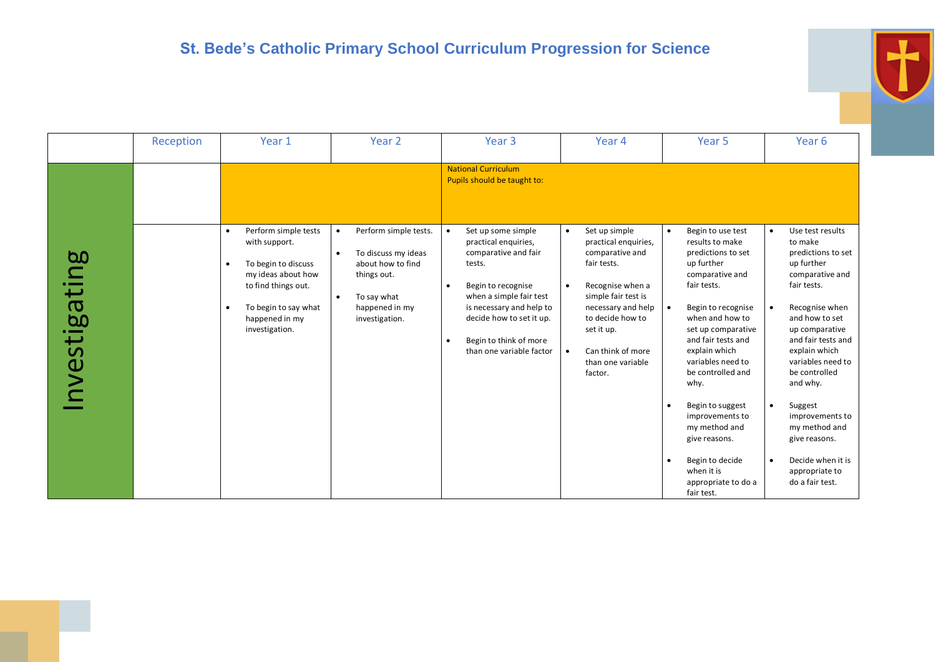|              | Reception | Year 1                                                                                                                                                                             | Year <sub>2</sub>                                                                                                                                                          | Year <sub>3</sub>                                                                                                                                                                                                                                                                  | Year 4                                                                                                                                                                                                                                                    | Year <sub>5</sub>                                                                                                                                                                                                                                                                                                                                                                                                | Year 6                                                                                                                                                                                                                                                                                                                                                                                                            |
|--------------|-----------|------------------------------------------------------------------------------------------------------------------------------------------------------------------------------------|----------------------------------------------------------------------------------------------------------------------------------------------------------------------------|------------------------------------------------------------------------------------------------------------------------------------------------------------------------------------------------------------------------------------------------------------------------------------|-----------------------------------------------------------------------------------------------------------------------------------------------------------------------------------------------------------------------------------------------------------|------------------------------------------------------------------------------------------------------------------------------------------------------------------------------------------------------------------------------------------------------------------------------------------------------------------------------------------------------------------------------------------------------------------|-------------------------------------------------------------------------------------------------------------------------------------------------------------------------------------------------------------------------------------------------------------------------------------------------------------------------------------------------------------------------------------------------------------------|
|              |           |                                                                                                                                                                                    |                                                                                                                                                                            | <b>National Curriculum</b><br>Pupils should be taught to:                                                                                                                                                                                                                          |                                                                                                                                                                                                                                                           |                                                                                                                                                                                                                                                                                                                                                                                                                  |                                                                                                                                                                                                                                                                                                                                                                                                                   |
| nvestigating |           | Perform simple tests<br>with support.<br>To begin to discuss<br>my ideas about how<br>to find things out.<br>To begin to say what<br>$\bullet$<br>happened in my<br>investigation. | Perform simple tests.<br>$\bullet$<br>To discuss my ideas<br>$\bullet$<br>about how to find<br>things out.<br>To say what<br>$\bullet$<br>happened in my<br>investigation. | Set up some simple<br>$\bullet$<br>practical enquiries,<br>comparative and fair<br>tests.<br>Begin to recognise<br>$\bullet$<br>when a simple fair test<br>is necessary and help to<br>decide how to set it up.<br>Begin to think of more<br>$\bullet$<br>than one variable factor | Set up simple<br>$\bullet$<br>practical enquiries,<br>comparative and<br>fair tests.<br>Recognise when a<br>$\bullet$<br>simple fair test is<br>necessary and help<br>to decide how to<br>set it up.<br>Can think of more<br>than one variable<br>factor. | Begin to use test<br>$\bullet$<br>results to make<br>predictions to set<br>up further<br>comparative and<br>fair tests.<br>Begin to recognise<br>when and how to<br>set up comparative<br>and fair tests and<br>explain which<br>variables need to<br>be controlled and<br>why.<br>Begin to suggest<br>improvements to<br>my method and<br>give reasons.<br>Begin to decide<br>when it is<br>appropriate to do a | Use test results<br>$\bullet$<br>to make<br>predictions to set<br>up further<br>comparative and<br>fair tests.<br>Recognise when<br>and how to set<br>up comparative<br>and fair tests and<br>explain which<br>variables need to<br>be controlled<br>and why.<br>Suggest<br>$\bullet$<br>improvements to<br>my method and<br>give reasons.<br>Decide when it is<br>$\bullet$<br>appropriate to<br>do a fair test. |

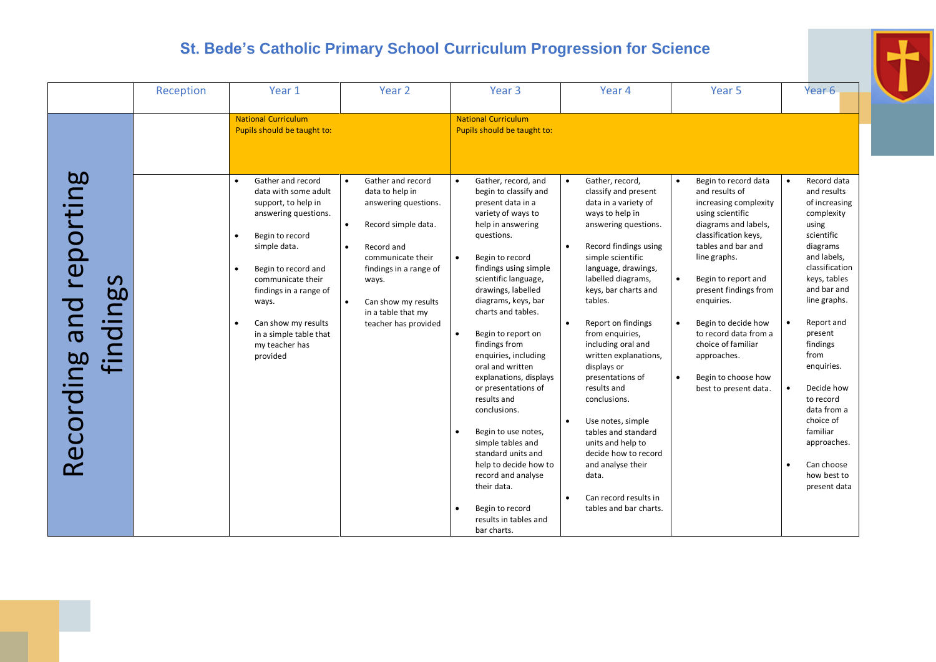|                                                                         | Reception | Year 1                                                                                                                                                                                                                                                                                                                                                                                         | Year 2                                                                                                                                                                                                                                                                             | Year <sub>3</sub>                                                                                                                                                                                                                                                                                                                                                                                            | Year 4                                                                                                                                                                                                                                                                                                                                         | Year <sub>5</sub>                                                                                                                                                                                                                                                                                                                                    | Year <sub>6</sub>                                                                                                                                                                                                                           |
|-------------------------------------------------------------------------|-----------|------------------------------------------------------------------------------------------------------------------------------------------------------------------------------------------------------------------------------------------------------------------------------------------------------------------------------------------------------------------------------------------------|------------------------------------------------------------------------------------------------------------------------------------------------------------------------------------------------------------------------------------------------------------------------------------|--------------------------------------------------------------------------------------------------------------------------------------------------------------------------------------------------------------------------------------------------------------------------------------------------------------------------------------------------------------------------------------------------------------|------------------------------------------------------------------------------------------------------------------------------------------------------------------------------------------------------------------------------------------------------------------------------------------------------------------------------------------------|------------------------------------------------------------------------------------------------------------------------------------------------------------------------------------------------------------------------------------------------------------------------------------------------------------------------------------------------------|---------------------------------------------------------------------------------------------------------------------------------------------------------------------------------------------------------------------------------------------|
| reporting<br>$\mathbf{\Omega}$<br><b>b.0</b><br>pue<br>$\equiv$<br>find |           | <b>National Curriculum</b><br>Pupils should be taught to:<br>Gather and record<br>$\bullet$<br>data with some adult<br>support, to help in<br>answering questions.<br>Begin to record<br>$\bullet$<br>simple data.<br>Begin to record and<br>$\bullet$<br>communicate their<br>findings in a range of<br>ways.<br>Can show my results<br>$\bullet$<br>in a simple table that<br>my teacher has | Gather and record<br>$\bullet$<br>data to help in<br>answering questions.<br>$\bullet$<br>Record simple data.<br>$\bullet$<br>Record and<br>communicate their<br>findings in a range of<br>ways.<br>Can show my results<br>$\bullet$<br>in a table that my<br>teacher has provided | <b>National Curriculum</b><br>Pupils should be taught to:<br>Gather, record, and<br>$\bullet$<br>begin to classify and<br>present data in a<br>variety of ways to<br>help in answering<br>questions.<br>Begin to record<br>$\bullet$<br>findings using simple<br>scientific language,<br>drawings, labelled<br>diagrams, keys, bar<br>charts and tables.<br>Begin to report on<br>$\bullet$<br>findings from | Gather, record,<br>$\bullet$<br>classify and present<br>data in a variety of<br>ways to help in<br>answering questions.<br>Record findings using<br>$\bullet$<br>simple scientific<br>language, drawings,<br>labelled diagrams,<br>keys, bar charts and<br>tables.<br>Report on findings<br>$\bullet$<br>from enquiries,<br>including oral and | Begin to record data<br>$\bullet$<br>and results of<br>increasing complexity<br>using scientific<br>diagrams and labels,<br>classification keys,<br>tables and bar and<br>line graphs.<br>$\bullet$<br>Begin to report and<br>present findings from<br>enquiries.<br>Begin to decide how<br>$\bullet$<br>to record data from a<br>choice of familiar | Record data<br>$\bullet$<br>and results<br>of increasing<br>complexity<br>using<br>scientific<br>diagrams<br>and labels,<br>classification<br>keys, tables<br>and bar and<br>line graphs.<br>Report and<br>$\bullet$<br>present<br>findings |
| Recording                                                               |           | provided                                                                                                                                                                                                                                                                                                                                                                                       |                                                                                                                                                                                                                                                                                    | enquiries, including<br>oral and written<br>explanations, displays<br>or presentations of<br>results and<br>conclusions.<br>Begin to use notes,<br>$\bullet$<br>simple tables and<br>standard units and<br>help to decide how to<br>record and analyse<br>their data.<br>Begin to record<br>results in tables and<br>bar charts.                                                                             | written explanations,<br>displays or<br>presentations of<br>results and<br>conclusions.<br>Use notes, simple<br>tables and standard<br>units and help to<br>decide how to record<br>and analyse their<br>data.<br>Can record results in<br>tables and bar charts.                                                                              | approaches.<br>Begin to choose how<br>$\bullet$<br>best to present data.                                                                                                                                                                                                                                                                             | from<br>enquiries.<br>Decide how<br>$\bullet$<br>to record<br>data from a<br>choice of<br>familiar<br>approaches.<br>Can choose<br>how best to<br>present data                                                                              |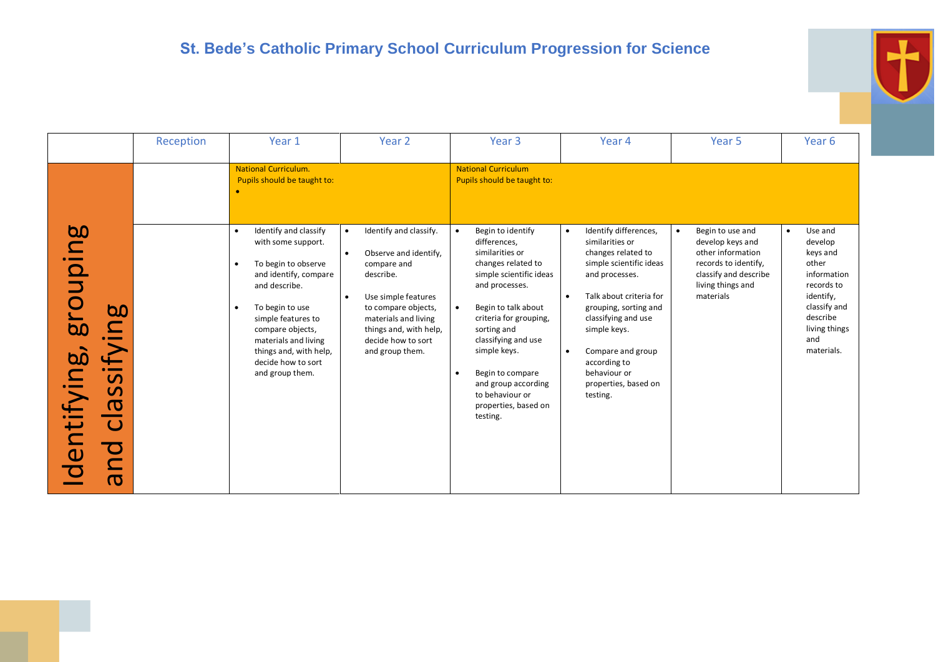|                                                                                                                                                            | Reception | Year 1                                                                                                                                                                                                                                                                                         | Year 2                                                                                                                                                                                                                                                      | Year 3                                                                                                                                                                                                                                                                                                                           | Year 4                                                                                                                                                                                                                                                                                                       | Year 5                                                                                                                                                    | Year 6                                                                                                                                                           |
|------------------------------------------------------------------------------------------------------------------------------------------------------------|-----------|------------------------------------------------------------------------------------------------------------------------------------------------------------------------------------------------------------------------------------------------------------------------------------------------|-------------------------------------------------------------------------------------------------------------------------------------------------------------------------------------------------------------------------------------------------------------|----------------------------------------------------------------------------------------------------------------------------------------------------------------------------------------------------------------------------------------------------------------------------------------------------------------------------------|--------------------------------------------------------------------------------------------------------------------------------------------------------------------------------------------------------------------------------------------------------------------------------------------------------------|-----------------------------------------------------------------------------------------------------------------------------------------------------------|------------------------------------------------------------------------------------------------------------------------------------------------------------------|
|                                                                                                                                                            |           | <b>National Curriculum.</b><br>Pupils should be taught to:                                                                                                                                                                                                                                     |                                                                                                                                                                                                                                                             | <b>National Curriculum</b><br>Pupils should be taught to:                                                                                                                                                                                                                                                                        |                                                                                                                                                                                                                                                                                                              |                                                                                                                                                           |                                                                                                                                                                  |
| <b>bo</b><br>$\Omega$<br>$\overline{\phantom{a}}$<br><b>b.0</b><br>bo<br>$\overline{\mathbf{g}}$<br>$\mathsf{C}$<br>i∠<br>:<br><b>S</b><br>ᢐ<br>entif<br>ത |           | Identify and classify<br>with some support.<br>To begin to observe<br>$\bullet$<br>and identify, compare<br>and describe.<br>To begin to use<br>$\bullet$<br>simple features to<br>compare objects,<br>materials and living<br>things and, with help,<br>decide how to sort<br>and group them. | Identify and classify.<br>$\bullet$<br>Observe and identify,<br>$\bullet$<br>compare and<br>describe.<br>Use simple features<br>$\bullet$<br>to compare objects,<br>materials and living<br>things and, with help,<br>decide how to sort<br>and group them. | Begin to identify<br>differences,<br>similarities or<br>changes related to<br>simple scientific ideas<br>and processes.<br>Begin to talk about<br>criteria for grouping,<br>sorting and<br>classifying and use<br>simple keys.<br>Begin to compare<br>and group according<br>to behaviour or<br>properties, based on<br>testing. | Identify differences,<br>$\bullet$<br>similarities or<br>changes related to<br>simple scientific ideas<br>and processes.<br>Talk about criteria for<br>grouping, sorting and<br>classifying and use<br>simple keys.<br>Compare and group<br>according to<br>behaviour or<br>properties, based on<br>testing. | Begin to use and<br>$\bullet$<br>develop keys and<br>other information<br>records to identify,<br>classify and describe<br>living things and<br>materials | Use and<br>$\bullet$<br>develop<br>keys and<br>other<br>information<br>records to<br>identify,<br>classify and<br>describe<br>living things<br>and<br>materials. |

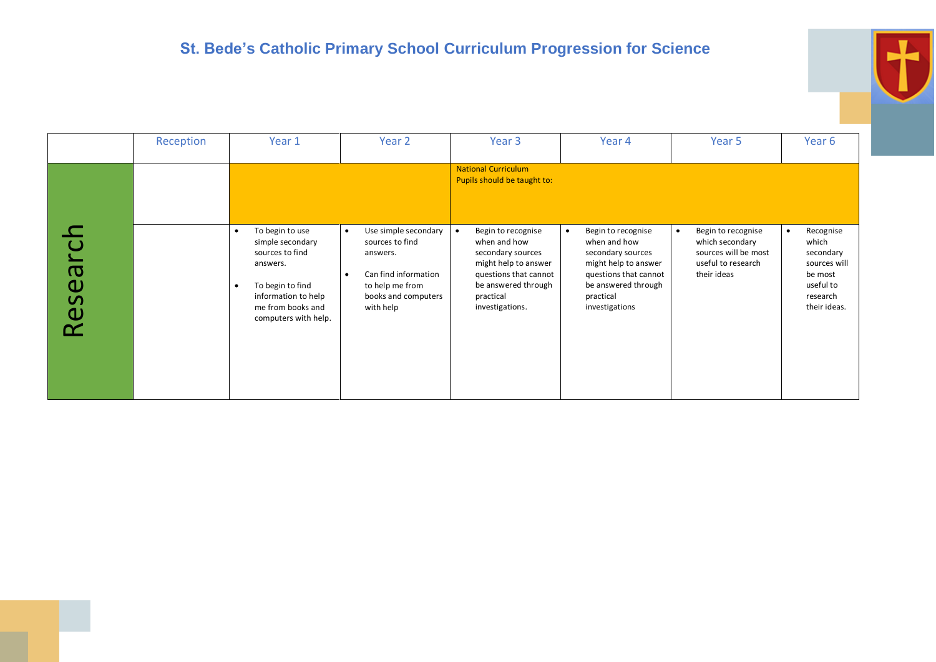

|                                   | Reception | Year 1                                                                                                        | Year 2                                                                                   | Year <sub>3</sub>                                                                                                    | Year 4                                                                                              | Year 5                                                                     | Year 6                                                           |
|-----------------------------------|-----------|---------------------------------------------------------------------------------------------------------------|------------------------------------------------------------------------------------------|----------------------------------------------------------------------------------------------------------------------|-----------------------------------------------------------------------------------------------------|----------------------------------------------------------------------------|------------------------------------------------------------------|
|                                   |           | To begin to use<br>simple secondary<br>sources to find                                                        | Use simple secondary<br>$\bullet$<br>sources to find<br>answers.                         | <b>National Curriculum</b><br>Pupils should be taught to:<br>Begin to recognise<br>when and how<br>secondary sources | Begin to recognise<br>when and how<br>secondary sources                                             | Begin to recognise<br>$\bullet$<br>which secondary<br>sources will be most | Recognise<br>$\bullet$<br>which<br>secondary                     |
| ത<br>$\frac{0}{5}$<br>$\mathbf 0$ |           | answers.<br>To begin to find<br>$\bullet$<br>information to help<br>me from books and<br>computers with help. | Can find information<br>$\bullet$<br>to help me from<br>books and computers<br>with help | might help to answer<br>questions that cannot<br>be answered through<br>practical<br>investigations.                 | might help to answer<br>questions that cannot<br>be answered through<br>practical<br>investigations | useful to research<br>their ideas                                          | sources will<br>be most<br>useful to<br>research<br>their ideas. |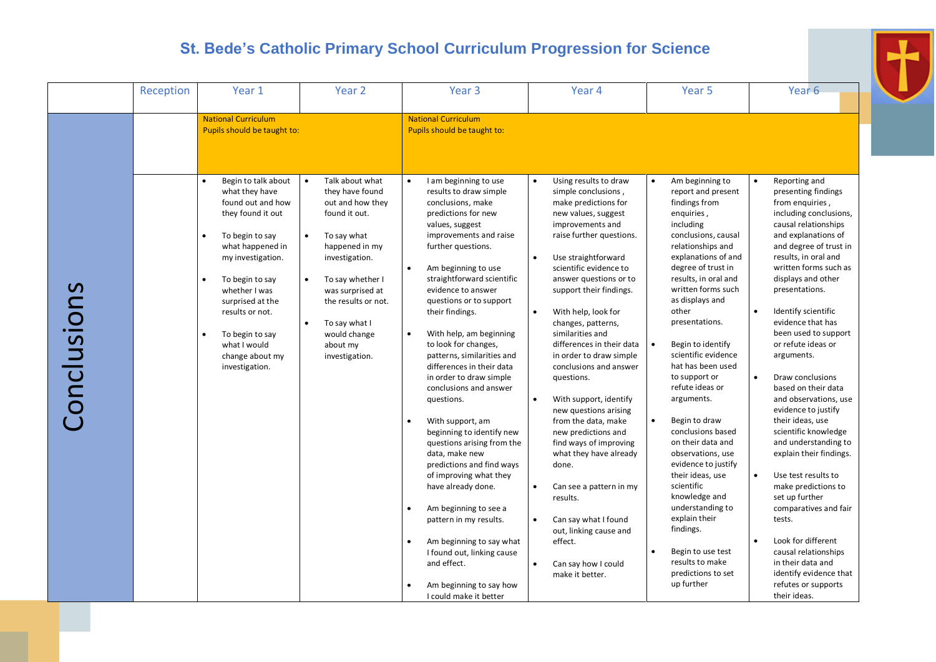|            | Reception | Year 1                                                                                                                                                                                                                                                                  | Year 2                                                                                                                                                                                                                                | Year <sub>3</sub>                                                                                                                                                                                                                                                                                                                                                                                                                                                                                                                                                                                                                                                                                                                                                                                                   | Year 4                                                                                                                                                                                                                                                                                                                                                                                                                                                                                                                                                                                                                                                                                                     | Year 5                                                                                                                                                                                                                                                                                                                                                                                                                                                                                                                                                                                                                                            | Year <sub>6</sub>                                                                                                                                                                                                                                                                                                                                                                                                                                                                                                                                                                                                                                                                                                                              |
|------------|-----------|-------------------------------------------------------------------------------------------------------------------------------------------------------------------------------------------------------------------------------------------------------------------------|---------------------------------------------------------------------------------------------------------------------------------------------------------------------------------------------------------------------------------------|---------------------------------------------------------------------------------------------------------------------------------------------------------------------------------------------------------------------------------------------------------------------------------------------------------------------------------------------------------------------------------------------------------------------------------------------------------------------------------------------------------------------------------------------------------------------------------------------------------------------------------------------------------------------------------------------------------------------------------------------------------------------------------------------------------------------|------------------------------------------------------------------------------------------------------------------------------------------------------------------------------------------------------------------------------------------------------------------------------------------------------------------------------------------------------------------------------------------------------------------------------------------------------------------------------------------------------------------------------------------------------------------------------------------------------------------------------------------------------------------------------------------------------------|---------------------------------------------------------------------------------------------------------------------------------------------------------------------------------------------------------------------------------------------------------------------------------------------------------------------------------------------------------------------------------------------------------------------------------------------------------------------------------------------------------------------------------------------------------------------------------------------------------------------------------------------------|------------------------------------------------------------------------------------------------------------------------------------------------------------------------------------------------------------------------------------------------------------------------------------------------------------------------------------------------------------------------------------------------------------------------------------------------------------------------------------------------------------------------------------------------------------------------------------------------------------------------------------------------------------------------------------------------------------------------------------------------|
|            |           | <b>National Curriculum</b><br>Pupils should be taught to:<br>Begin to talk about<br>$\bullet$<br>what they have<br>found out and how                                                                                                                                    | Talk about what<br>they have found<br>out and how they                                                                                                                                                                                | <b>National Curriculum</b><br>Pupils should be taught to:<br>I am beginning to use<br>$\bullet$<br>results to draw simple<br>conclusions, make                                                                                                                                                                                                                                                                                                                                                                                                                                                                                                                                                                                                                                                                      | Using results to draw<br>$\bullet$<br>simple conclusions,<br>make predictions for                                                                                                                                                                                                                                                                                                                                                                                                                                                                                                                                                                                                                          | Am beginning to<br>$\bullet$<br>report and present<br>findings from                                                                                                                                                                                                                                                                                                                                                                                                                                                                                                                                                                               | Reporting and<br>presenting findings<br>from enquiries,                                                                                                                                                                                                                                                                                                                                                                                                                                                                                                                                                                                                                                                                                        |
| Conclusion |           | they found it out<br>$\bullet$<br>To begin to say<br>what happened in<br>my investigation.<br>$\bullet$<br>To begin to say<br>whether I was<br>surprised at the<br>results or not.<br>$\bullet$<br>To begin to say<br>what I would<br>change about my<br>investigation. | found it out.<br>To say what<br>$\bullet$<br>happened in my<br>investigation.<br>To say whether I<br>$\bullet$<br>was surprised at<br>the results or not.<br>To say what I<br>$\bullet$<br>would change<br>about my<br>investigation. | predictions for new<br>values, suggest<br>improvements and raise<br>further questions.<br>Am beginning to use<br>$\bullet$<br>straightforward scientific<br>evidence to answer<br>questions or to support<br>their findings.<br>With help, am beginning<br>$\bullet$<br>to look for changes,<br>patterns, similarities and<br>differences in their data<br>in order to draw simple<br>conclusions and answer<br>questions.<br>With support, am<br>$\bullet$<br>beginning to identify new<br>questions arising from the<br>data, make new<br>predictions and find ways<br>of improving what they<br>have already done.<br>Am beginning to see a<br>$\bullet$<br>pattern in my results.<br>Am beginning to say what<br>I found out, linking cause<br>and effect.<br>Am beginning to say how<br>I could make it better | new values, suggest<br>improvements and<br>raise further questions.<br>Use straightforward<br>$\bullet$<br>scientific evidence to<br>answer questions or to<br>support their findings.<br>With help, look for<br>$\bullet$<br>changes, patterns,<br>similarities and<br>differences in their data<br>in order to draw simple<br>conclusions and answer<br>questions.<br>With support, identify<br>$\bullet$<br>new questions arising<br>from the data, make<br>new predictions and<br>find ways of improving<br>what they have already<br>done.<br>Can see a pattern in my<br>results.<br>Can say what I found<br>$\bullet$<br>out, linking cause and<br>effect.<br>Can say how I could<br>make it better. | enguiries,<br>including<br>conclusions, causal<br>relationships and<br>explanations of and<br>degree of trust in<br>results, in oral and<br>written forms such<br>as displays and<br>other<br>presentations.<br>Begin to identify<br>scientific evidence<br>hat has been used<br>to support or<br>refute ideas or<br>arguments.<br>Begin to draw<br>$\bullet$<br>conclusions based<br>on their data and<br>observations, use<br>evidence to justify<br>their ideas, use<br>scientific<br>knowledge and<br>understanding to<br>explain their<br>findings.<br>$\bullet$<br>Begin to use test<br>results to make<br>predictions to set<br>up further | including conclusions,<br>causal relationships<br>and explanations of<br>and degree of trust in<br>results, in oral and<br>written forms such as<br>displays and other<br>presentations.<br>Identify scientific<br>evidence that has<br>been used to support<br>or refute ideas or<br>arguments.<br>Draw conclusions<br>based on their data<br>and observations, use<br>evidence to justify<br>their ideas, use<br>scientific knowledge<br>and understanding to<br>explain their findings.<br>Use test results to<br>$\bullet$<br>make predictions to<br>set up further<br>comparatives and fair<br>tests.<br>Look for different<br>causal relationships<br>in their data and<br>identify evidence that<br>refutes or supports<br>their ideas. |